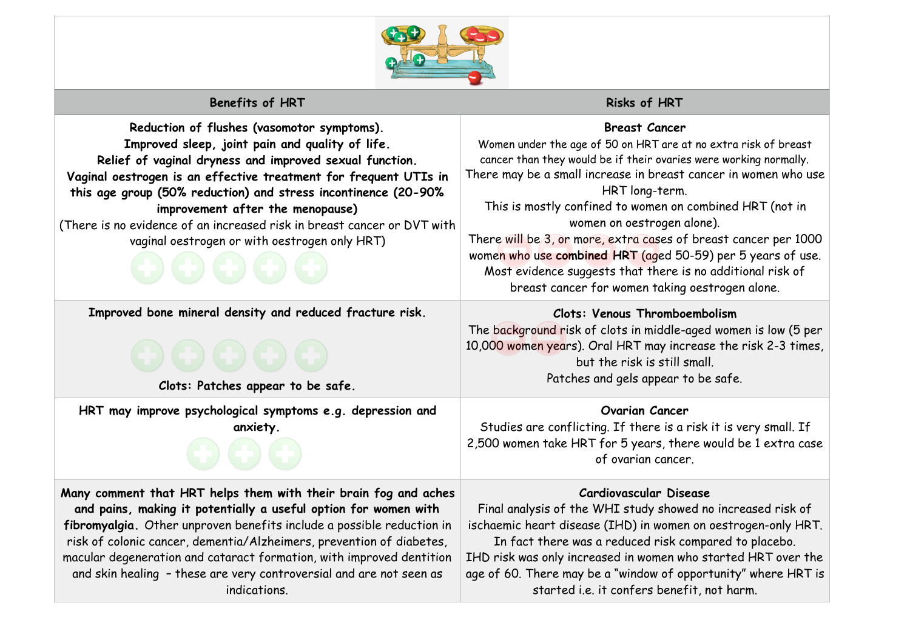

# **Benefits of HRT Risks of HRT Risks of HRT**

#### **Reduction of flushes (vasomotor symptoms). Improved sleep, joint pain and quality of life. Relief of vaginal dryness and improved sexual function. Vaginal oestrogen is an effective treatment for frequent UTIs in this age group (50% reduction) and stress incontinence (20-90% improvement after the menopause)**  (There is no evidence of an increased risk in breast cancer or DVT with vaginal oestrogen or with oestrogen only HRT)

**Improved bone mineral density and reduced fracture risk.** 



**Clots: Patches appear to be safe.**

**HRT may improve psychological symptoms e.g. depression and anxiety.** 

**Many comment that HRT helps them with their brain fog and aches and pains, making it potentially a useful option for women with fibromyalgia.** Other unproven benefits include a possible reduction in risk of colonic cancer, dementia/Alzheimers, prevention of diabetes, macular degeneration and cataract formation, with improved dentition and skin healing – these are very controversial and are not seen as indications.

## **Breast Cancer**

Women under the age of 50 on HRT are at no extra risk of breast cancer than they would be if their ovaries were working normally. There may be a small increase in breast cancer in women who use HRT long-term. This is mostly confined to women on combined HRT (not in women on oestrogen alone). There will be 3, or more, extra cases of breast cancer per 1000 women who use **combined HRT** (aged 50-59) per 5 years of use. Most evidence suggests that there is no additional risk of

breast cancer for women taking oestrogen alone.

## **Clots: Venous Thromboembolism**

The background risk of clots in middle-aged women is low (5 per 10,000 women years). Oral HRT may increase the risk 2-3 times, but the risk is still small. Patches and gels appear to be safe.

#### **Ovarian Cancer**

Studies are conflicting. If there is a risk it is very small. If 2,500 women take HRT for 5 years, there would be 1 extra case of ovarian cancer.

#### **Cardiovascular Disease**

Final analysis of the WHI study showed no increased risk of ischaemic heart disease (IHD) in women on oestrogen-only HRT.

In fact there was a reduced risk compared to placebo. IHD risk was only increased in women who started HRT over the age of 60. There may be a "window of opportunity" where HRT is started i.e. it confers benefit, not harm.